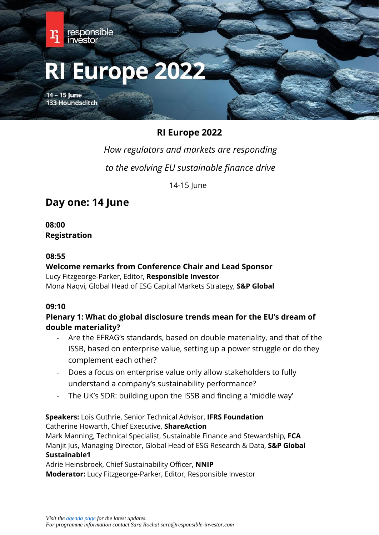

*How regulators and markets are responding to the evolving EU sustainable finance drive* 

14-15 June

# **Day one: 14 June**

**08:00 Registration** 

#### **08:55**

# **Welcome remarks from Conference Chair and Lead Sponsor** Lucy Fitzgeorge-Parker, Editor, **Responsible Investor**

Mona Naqvi, Global Head of ESG Capital Markets Strategy, **S&P Global**

## **09:10**

# **Plenary 1: What do global disclosure trends mean for the EU's dream of double materiality?**

- Are the EFRAG's standards, based on double materiality, and that of the ISSB, based on enterprise value, setting up a power struggle or do they complement each other?
- Does a focus on enterprise value only allow stakeholders to fully understand a company's sustainability performance?
- The UK's SDR: building upon the ISSB and finding a 'middle way'

**Speakers:** Lois Guthrie, Senior Technical Advisor, **IFRS Foundation** Catherine Howarth, Chief Executive, **ShareAction**

Mark Manning, Technical Specialist, Sustainable Finance and Stewardship, **FCA** Manjit Jus, Managing Director, Global Head of ESG Research & Data, **S&P Global Sustainable1**

Adrie Heinsbroek, Chief Sustainability Officer, **NNIP Moderator:** Lucy Fitzgeorge-Parker, Editor, Responsible Investor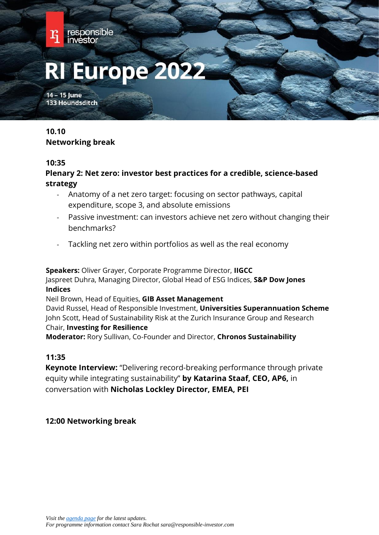

# **10.10 Networking break**

#### **10:35**

# **Plenary 2: Net zero: investor best practices for a credible, science-based strategy**

- Anatomy of a net zero target: focusing on sector pathways, capital expenditure, scope 3, and absolute emissions
- Passive investment: can investors achieve net zero without changing their benchmarks?
- Tackling net zero within portfolios as well as the real economy

**Speakers:** Oliver Grayer, Corporate Programme Director, **IIGCC** Jaspreet Duhra, Managing Director, Global Head of ESG Indices, **S&P Dow Jones Indices**

Neil Brown, Head of Equities, **GIB Asset Management**

David Russel, Head of Responsible Investment, **Universities Superannuation Scheme** John Scott, Head of Sustainability Risk at the Zurich Insurance Group and Research Chair, **Investing for Resilience**

**Moderator:** Rory Sullivan, Co-Founder and Director, **Chronos Sustainability**

## **11:35**

**Keynote Interview:** "Delivering record-breaking performance through private equity while integrating sustainability" **by Katarina Staaf, CEO, AP6,** in conversation with **Nicholas Lockley Director, EMEA, PEI**

# **12:00 Networking break**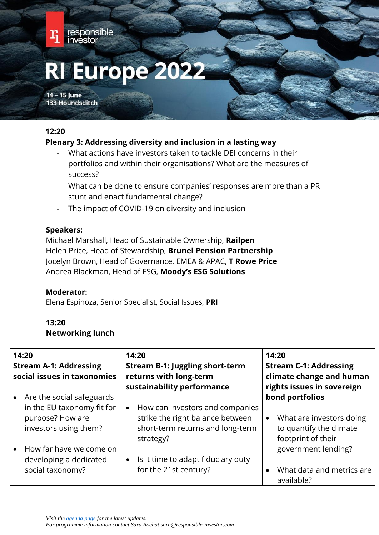

## **12:20**

# **Plenary 3: Addressing diversity and inclusion in a lasting way**

- What actions have investors taken to tackle DEI concerns in their portfolios and within their organisations? What are the measures of success?
- What can be done to ensure companies' responses are more than a PR stunt and enact fundamental change?
- The impact of COVID-19 on diversity and inclusion

## **Speakers:**

Michael Marshall, Head of Sustainable Ownership, **Railpen** Helen Price, Head of Stewardship, **Brunel Pension Partnership** Jocelyn Brown, Head of Governance, EMEA & APAC, **T Rowe Price** Andrea Blackman, Head of ESG, **Moody's ESG Solutions**

## **Moderator:**

Elena Espinoza, Senior Specialist, Social Issues, **PRI**

# **13:20 Networking lunch**

| 14:20<br><b>Stream A-1: Addressing</b><br>social issues in taxonomies |                                                                                                      | 14:20<br><b>Stream B-1: Juggling short-term</b><br>returns with long-term<br>sustainability performance                           |           | 14:20<br><b>Stream C-1: Addressing</b><br>climate change and human<br>rights issues in sovereign |
|-----------------------------------------------------------------------|------------------------------------------------------------------------------------------------------|-----------------------------------------------------------------------------------------------------------------------------------|-----------|--------------------------------------------------------------------------------------------------|
|                                                                       | Are the social safeguards<br>in the EU taxonomy fit for<br>purpose? How are<br>investors using them? | How can investors and companies<br>$\bullet$<br>strike the right balance between<br>short-term returns and long-term<br>strategy? | $\bullet$ | bond portfolios<br>What are investors doing<br>to quantify the climate<br>footprint of their     |
|                                                                       | How far have we come on<br>developing a dedicated<br>social taxonomy?                                | Is it time to adapt fiduciary duty<br>for the 21st century?                                                                       |           | government lending?<br>What data and metrics are<br>available?                                   |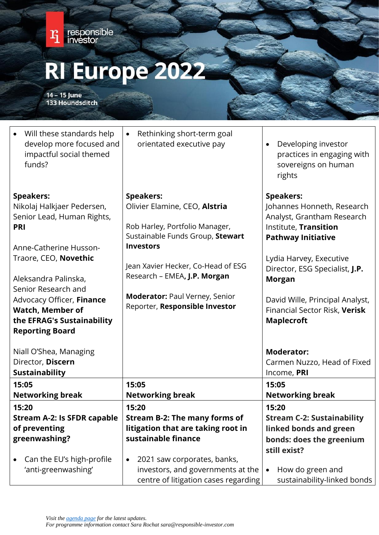

14 - 15 June<br>133 Houndsditch

| Will these standards help<br>develop more focused and<br>impactful social themed<br>funds?                                                                                                                                | Rethinking short-term goal<br>$\bullet$<br>orientated executive pay                                                                                                                                                                                        | Developing investor<br>$\bullet$<br>practices in engaging with<br>sovereigns on human<br>rights                                                                                                                                                     |
|---------------------------------------------------------------------------------------------------------------------------------------------------------------------------------------------------------------------------|------------------------------------------------------------------------------------------------------------------------------------------------------------------------------------------------------------------------------------------------------------|-----------------------------------------------------------------------------------------------------------------------------------------------------------------------------------------------------------------------------------------------------|
| <b>Speakers:</b><br>Nikolaj Halkjaer Pedersen,<br>Senior Lead, Human Rights,<br><b>PRI</b><br>Anne-Catherine Husson-<br>Traore, CEO, Novethic<br>Aleksandra Palinska,<br>Senior Research and<br>Advocacy Officer, Finance | <b>Speakers:</b><br>Olivier Elamine, CEO, Alstria<br>Rob Harley, Portfolio Manager,<br>Sustainable Funds Group, Stewart<br><b>Investors</b><br>Jean Xavier Hecker, Co-Head of ESG<br>Research - EMEA, J.P. Morgan<br><b>Moderator: Paul Verney, Senior</b> | <b>Speakers:</b><br>Johannes Honneth, Research<br>Analyst, Grantham Research<br>Institute, Transition<br><b>Pathway Initiative</b><br>Lydia Harvey, Executive<br>Director, ESG Specialist, J.P.<br><b>Morgan</b><br>David Wille, Principal Analyst, |
| <b>Watch, Member of</b><br>the EFRAG's Sustainability<br><b>Reporting Board</b><br>Niall O'Shea, Managing                                                                                                                 | Reporter, Responsible Investor                                                                                                                                                                                                                             | Financial Sector Risk, Verisk<br><b>Maplecroft</b><br><b>Moderator:</b>                                                                                                                                                                             |
| Director, Discern<br><b>Sustainability</b>                                                                                                                                                                                |                                                                                                                                                                                                                                                            | Carmen Nuzzo, Head of Fixed<br>Income, PRI                                                                                                                                                                                                          |
| 15:05                                                                                                                                                                                                                     | 15:05                                                                                                                                                                                                                                                      | 15:05                                                                                                                                                                                                                                               |
| <b>Networking break</b>                                                                                                                                                                                                   | <b>Networking break</b>                                                                                                                                                                                                                                    | <b>Networking break</b>                                                                                                                                                                                                                             |
| 15:20                                                                                                                                                                                                                     | 15:20                                                                                                                                                                                                                                                      | 15:20                                                                                                                                                                                                                                               |
| <b>Stream A-2: Is SFDR capable</b>                                                                                                                                                                                        | <b>Stream B-2: The many forms of</b>                                                                                                                                                                                                                       | <b>Stream C-2: Sustainability</b>                                                                                                                                                                                                                   |
| of preventing                                                                                                                                                                                                             | litigation that are taking root in                                                                                                                                                                                                                         | linked bonds and green                                                                                                                                                                                                                              |
| greenwashing?                                                                                                                                                                                                             | sustainable finance                                                                                                                                                                                                                                        | bonds: does the greenium                                                                                                                                                                                                                            |
| Can the EU's high-profile<br>'anti-greenwashing'                                                                                                                                                                          | 2021 saw corporates, banks,<br>$\bullet$<br>investors, and governments at the<br>centre of litigation cases regarding                                                                                                                                      | still exist?<br>How do green and<br>$\bullet$<br>sustainability-linked bonds                                                                                                                                                                        |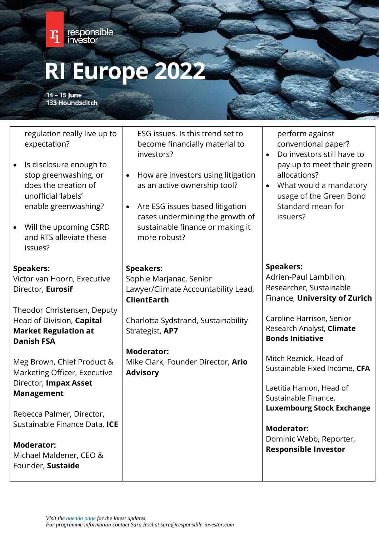

14 - 15 June **133 Houndsditch** 

regulation really live up to expectation?

- Is disclosure enough to stop greenwashing, or does the creation of unofficial 'labels' enable greenwashing?
- Will the upcoming CSRD and RTS alleviate these issues?

# **Speakers:**

Victor van Hoorn, Executive Director, **Eurosif** 

Theodor Christensen, Deputy Head of Division, **Capital Market Regulation at Danish FSA**

Meg Brown, Chief Product & Marketing Officer, Executive Director, **Impax Asset Management**

Rebecca Palmer, Director, Sustainable Finance Data, **ICE**

**Moderator:** Michael Maldener, CEO & Founder, **Sustaide**

ESG issues. Is this trend set to become financially material to investors?

- How are investors using litigation as an active ownership tool?
- Are ESG issues-based litigation cases undermining the growth of sustainable finance or making it more robust?

# **Speakers:**

Sophie Marjanac, Senior Lawyer/Climate Accountability Lead, **ClientEarth**

Charlotta Sydstrand, Sustainability Strategist, **AP7**

**Moderator:** Mike Clark, Founder Director, **Ario Advisory**

perform against conventional paper?

- Do investors still have to pay up to meet their green allocations?
- What would a mandatory usage of the Green Bond Standard mean for issuers?

# **Speakers:**

Adrien-Paul Lambillon, Researcher, Sustainable Finance, **University of Zurich**

Caroline Harrison, Senior Research Analyst, **Climate Bonds Initiative**

Mitch Reznick, Head of Sustainable Fixed Income, **CFA**

Laetitia Hamon, Head of Sustainable Finance, **Luxembourg Stock Exchange**

**Moderator:** Dominic Webb, Reporter, **Responsible Investor**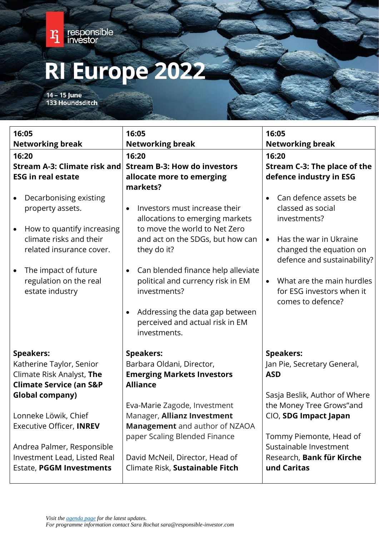

14 - 15 June<br>133 Houndsditch

| 16:05<br><b>Networking break</b>                                                                                                                                                                                                            | 16:05<br><b>Networking break</b>                                                                                                                                                                                                                                                                                                                                                         | 16:05<br><b>Networking break</b>                                                                                                                                                                                                           |  |
|---------------------------------------------------------------------------------------------------------------------------------------------------------------------------------------------------------------------------------------------|------------------------------------------------------------------------------------------------------------------------------------------------------------------------------------------------------------------------------------------------------------------------------------------------------------------------------------------------------------------------------------------|--------------------------------------------------------------------------------------------------------------------------------------------------------------------------------------------------------------------------------------------|--|
| 16:20                                                                                                                                                                                                                                       | 16:20                                                                                                                                                                                                                                                                                                                                                                                    | 16:20                                                                                                                                                                                                                                      |  |
| <b>Stream A-3: Climate risk and</b>                                                                                                                                                                                                         | <b>Stream B-3: How do investors</b>                                                                                                                                                                                                                                                                                                                                                      |                                                                                                                                                                                                                                            |  |
|                                                                                                                                                                                                                                             |                                                                                                                                                                                                                                                                                                                                                                                          | Stream C-3: The place of the                                                                                                                                                                                                               |  |
| <b>ESG in real estate</b>                                                                                                                                                                                                                   | allocate more to emerging                                                                                                                                                                                                                                                                                                                                                                | defence industry in ESG                                                                                                                                                                                                                    |  |
| Decarbonising existing<br>$\bullet$<br>property assets.<br>How to quantify increasing<br>$\bullet$<br>climate risks and their<br>related insurance cover.<br>The impact of future<br>$\bullet$<br>regulation on the real<br>estate industry | markets?<br>Investors must increase their<br>$\bullet$<br>allocations to emerging markets<br>to move the world to Net Zero<br>and act on the SDGs, but how can<br>they do it?<br>Can blended finance help alleviate<br>$\bullet$<br>political and currency risk in EM<br>investments?<br>Addressing the data gap between<br>$\bullet$<br>perceived and actual risk in EM<br>investments. | Can defence assets be<br>classed as social<br>investments?<br>Has the war in Ukraine<br>$\bullet$<br>changed the equation on<br>defence and sustainability?<br>What are the main hurdles<br>for ESG investors when it<br>comes to defence? |  |
| <b>Speakers:</b><br>Katherine Taylor, Senior<br>Climate Risk Analyst, The                                                                                                                                                                   | <b>Speakers:</b><br>Barbara Oldani, Director,<br><b>Emerging Markets Investors</b>                                                                                                                                                                                                                                                                                                       | <b>Speakers:</b><br>Jan Pie, Secretary General,<br><b>ASD</b>                                                                                                                                                                              |  |
|                                                                                                                                                                                                                                             | <b>Alliance</b>                                                                                                                                                                                                                                                                                                                                                                          |                                                                                                                                                                                                                                            |  |
| <b>Climate Service (an S&amp;P</b>                                                                                                                                                                                                          |                                                                                                                                                                                                                                                                                                                                                                                          |                                                                                                                                                                                                                                            |  |
| <b>Global company)</b>                                                                                                                                                                                                                      | Eva-Marie Zagode, Investment                                                                                                                                                                                                                                                                                                                                                             | Sasja Beslik, Author of Where<br>the Money Tree Grows"and                                                                                                                                                                                  |  |
| Lonneke Löwik, Chief                                                                                                                                                                                                                        | Manager, Allianz Investment                                                                                                                                                                                                                                                                                                                                                              | CIO, SDG Impact Japan                                                                                                                                                                                                                      |  |
| Executive Officer, INREV                                                                                                                                                                                                                    | Management and author of NZAOA                                                                                                                                                                                                                                                                                                                                                           |                                                                                                                                                                                                                                            |  |
|                                                                                                                                                                                                                                             | paper Scaling Blended Finance                                                                                                                                                                                                                                                                                                                                                            | Tommy Piemonte, Head of                                                                                                                                                                                                                    |  |
| Andrea Palmer, Responsible                                                                                                                                                                                                                  |                                                                                                                                                                                                                                                                                                                                                                                          | Sustainable Investment                                                                                                                                                                                                                     |  |
| Investment Lead, Listed Real                                                                                                                                                                                                                | David McNeil, Director, Head of                                                                                                                                                                                                                                                                                                                                                          | Research, Bank für Kirche                                                                                                                                                                                                                  |  |
| <b>Estate, PGGM Investments</b>                                                                                                                                                                                                             | Climate Risk, Sustainable Fitch                                                                                                                                                                                                                                                                                                                                                          | und Caritas                                                                                                                                                                                                                                |  |
|                                                                                                                                                                                                                                             |                                                                                                                                                                                                                                                                                                                                                                                          |                                                                                                                                                                                                                                            |  |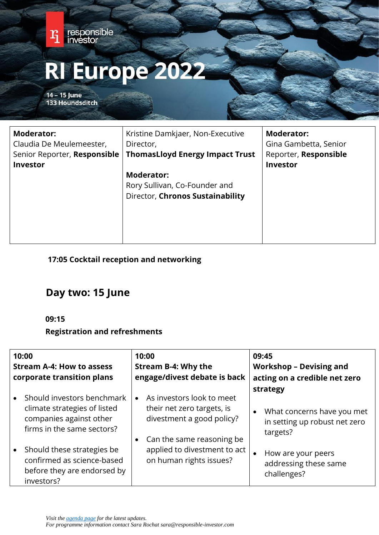

# **17:05 Cocktail reception and networking**

# **Day two: 15 June**

# **09:15**

# **Registration and refreshments**

| 10:00<br><b>Stream A-4: How to assess</b><br>corporate transition plans                                             | 10:00<br><b>Stream B-4: Why the</b><br>engage/divest debate is back                                               | 09:45<br><b>Workshop - Devising and</b><br>acting on a credible net zero                         |
|---------------------------------------------------------------------------------------------------------------------|-------------------------------------------------------------------------------------------------------------------|--------------------------------------------------------------------------------------------------|
| Should investors benchmark<br>climate strategies of listed<br>companies against other<br>firms in the same sectors? | As investors look to meet<br>their net zero targets, is<br>divestment a good policy?<br>Can the same reasoning be | strategy<br>What concerns have you met<br>$\bullet$<br>in setting up robust net zero<br>targets? |
| Should these strategies be<br>confirmed as science-based<br>before they are endorsed by<br>investors?               | applied to divestment to act<br>on human rights issues?                                                           | How are your peers<br>addressing these same<br>challenges?                                       |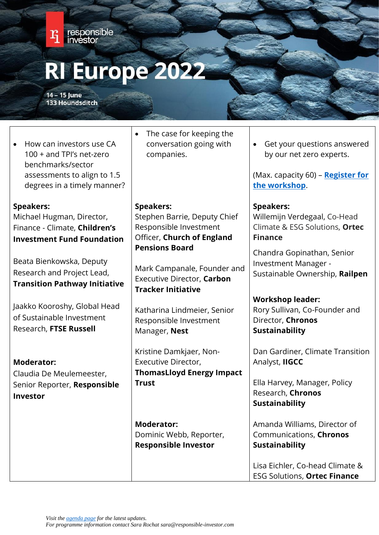

14 - 15 June **133 Houndsditch** 

• How can investors use CA 100 + and TPI's net-zero benchmarks/sector assessments to align to 1.5 degrees in a timely manner?

# **Speakers:**

Michael Hugman, Director, Finance - Climate, **Children's Investment Fund Foundation**

Beata Bienkowska, Deputy Research and Project Lead, **Transition Pathway Initiative**

Jaakko Kooroshy, Global Head of Sustainable Investment Research, **FTSE Russell**

# **Moderator:**

Claudia De Meulemeester, Senior Reporter, **Responsible Investor**

• The case for keeping the conversation going with companies.

**Speakers:**  Stephen Barrie, Deputy Chief Responsible Investment Officer, **Church of England Pensions Board**

Mark Campanale, Founder and Executive Director, **Carbon Tracker Initiative**

Katharina Lindmeier, Senior Responsible Investment Manager, **Nest**

Kristine Damkjaer, Non-Executive Director, **ThomasLloyd Energy Impact Trust**

**Moderator:** Dominic Webb, Reporter, **Responsible Investor**

• Get your questions answered by our net zero experts.

(Max. capacity 60) – **[Register for](https://www.responsible-investor.com/register-for-the-ri-europe-workshop-preparing-for-the-eu-taxonomy/)  [the workshop](https://www.responsible-investor.com/register-for-the-ri-europe-workshop-preparing-for-the-eu-taxonomy/)**[.](https://www.privateequityinternational.com/ri-europe-workshop-preparing-for-the-eu-taxonomy-form/)

# **Speakers:**

Willemijn Verdegaal, Co-Head Climate & ESG Solutions, **Ortec Finance**

Chandra Gopinathan, Senior Investment Manager - Sustainable Ownership, **Railpen**

**Workshop leader:** Rory Sullivan, Co-Founder and Director, **Chronos Sustainability**

Dan Gardiner, Climate Transition Analyst, **IIGCC** 

Ella Harvey, Manager, Policy Research, **Chronos Sustainability**

Amanda Williams, Director of Communications, **Chronos Sustainability**

Lisa Eichler, Co-head Climate & ESG Solutions, **Ortec Finance**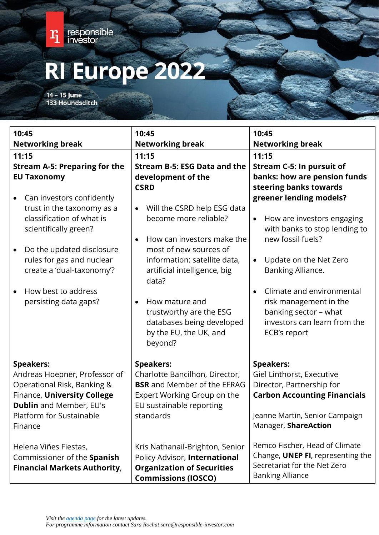

14 - 15 June<br>133 Houndsditch

| 10:45                                                                                                                                                                                                                                                                                       | 10:45                                                                                                                                                                                                                                                                                                                          | 10:45                                                                                                                                                                                                                                                                                                                             |
|---------------------------------------------------------------------------------------------------------------------------------------------------------------------------------------------------------------------------------------------------------------------------------------------|--------------------------------------------------------------------------------------------------------------------------------------------------------------------------------------------------------------------------------------------------------------------------------------------------------------------------------|-----------------------------------------------------------------------------------------------------------------------------------------------------------------------------------------------------------------------------------------------------------------------------------------------------------------------------------|
| <b>Networking break</b>                                                                                                                                                                                                                                                                     | <b>Networking break</b>                                                                                                                                                                                                                                                                                                        | <b>Networking break</b>                                                                                                                                                                                                                                                                                                           |
| 11:15                                                                                                                                                                                                                                                                                       | 11:15                                                                                                                                                                                                                                                                                                                          | 11:15                                                                                                                                                                                                                                                                                                                             |
| <b>Stream A-5: Preparing for the</b>                                                                                                                                                                                                                                                        | <b>Stream B-5: ESG Data and the</b>                                                                                                                                                                                                                                                                                            | <b>Stream C-5: In pursuit of</b>                                                                                                                                                                                                                                                                                                  |
| <b>EU Taxonomy</b>                                                                                                                                                                                                                                                                          | development of the<br><b>CSRD</b>                                                                                                                                                                                                                                                                                              | banks: how are pension funds<br>steering banks towards                                                                                                                                                                                                                                                                            |
| Can investors confidently<br>$\bullet$<br>trust in the taxonomy as a<br>classification of what is<br>scientifically green?<br>Do the updated disclosure<br>$\bullet$<br>rules for gas and nuclear<br>create a 'dual-taxonomy'?<br>How best to address<br>$\bullet$<br>persisting data gaps? | Will the CSRD help ESG data<br>$\bullet$<br>become more reliable?<br>How can investors make the<br>most of new sources of<br>information: satellite data,<br>artificial intelligence, big<br>data?<br>How mature and<br>$\bullet$<br>trustworthy are the ESG<br>databases being developed<br>by the EU, the UK, and<br>beyond? | greener lending models?<br>How are investors engaging<br>$\bullet$<br>with banks to stop lending to<br>new fossil fuels?<br>Update on the Net Zero<br>$\bullet$<br>Banking Alliance.<br>Climate and environmental<br>$\bullet$<br>risk management in the<br>banking sector - what<br>investors can learn from the<br>ECB's report |
| <b>Speakers:</b><br>Andreas Hoepner, Professor of<br>Operational Risk, Banking &<br>Finance, University College<br><b>Dublin</b> and Member, EU's<br>Platform for Sustainable<br>Finance                                                                                                    | <b>Speakers:</b><br>Charlotte Bancilhon, Director,<br><b>BSR</b> and Member of the EFRAG<br>Expert Working Group on the<br>EU sustainable reporting<br>standards                                                                                                                                                               | <b>Speakers:</b><br>Giel Linthorst, Executive<br>Director, Partnership for<br><b>Carbon Accounting Financials</b><br>Jeanne Martin, Senior Campaign<br>Manager, ShareAction                                                                                                                                                       |
| Helena Viñes Fiestas,<br>Commissioner of the Spanish<br><b>Financial Markets Authority,</b>                                                                                                                                                                                                 | Kris Nathanail-Brighton, Senior<br>Policy Advisor, International<br><b>Organization of Securities</b><br><b>Commissions (IOSCO)</b>                                                                                                                                                                                            | Remco Fischer, Head of Climate<br>Change, UNEP FI, representing the<br>Secretariat for the Net Zero<br><b>Banking Alliance</b>                                                                                                                                                                                                    |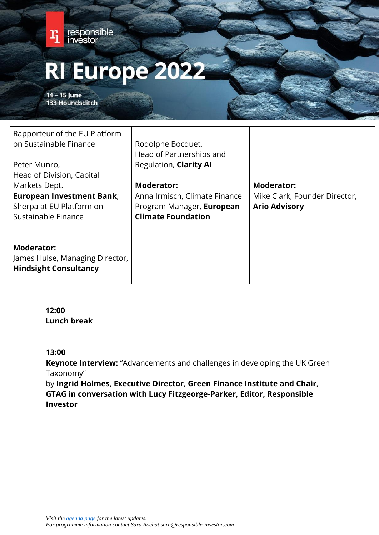

**Moderator:** James Hulse, Managing Director, **Hindsight Consultancy**

> **12:00 Lunch break**

## **13:00**

**Keynote Interview:** "Advancements and challenges in developing the UK Green Taxonomy"

by **Ingrid Holmes, Executive Director, Green Finance Institute and Chair, GTAG in conversation with Lucy Fitzgeorge-Parker, Editor, Responsible Investor**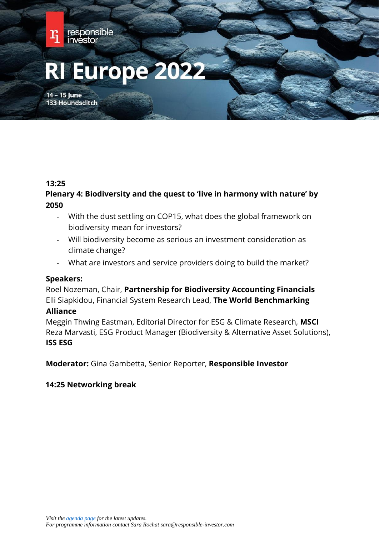

#### **13:25**

# **Plenary 4: Biodiversity and the quest to 'live in harmony with nature' by 2050**

- With the dust settling on COP15, what does the global framework on biodiversity mean for investors?
- Will biodiversity become as serious an investment consideration as climate change?
- What are investors and service providers doing to build the market?

## **Speakers:**

Roel Nozeman, Chair, **Partnership for Biodiversity Accounting Financials** Elli Siapkidou, Financial System Research Lead, **The World Benchmarking** 

## **Alliance**

Meggin Thwing Eastman, Editorial Director for ESG & Climate Research, **MSCI** Reza Marvasti, ESG Product Manager (Biodiversity & Alternative Asset Solutions), **ISS ESG**

**Moderator:** Gina Gambetta, Senior Reporter, **Responsible Investor**

## **14:25 Networking break**